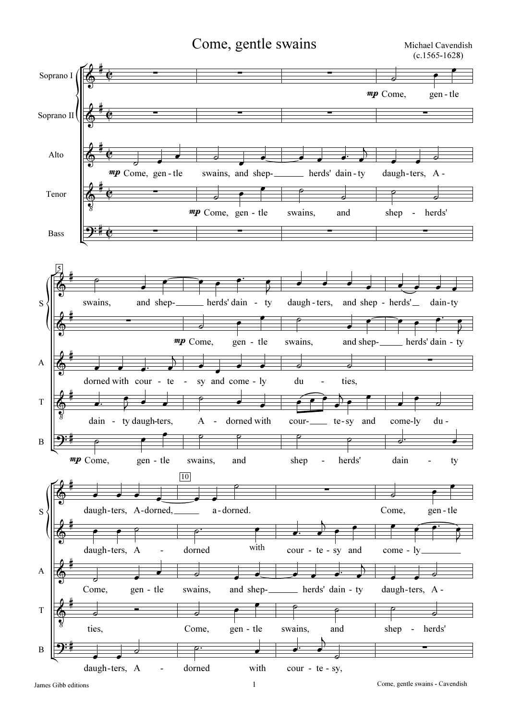## Come, gentle swains

Michael Cavendish  $(c.1565 - 1628)$ 

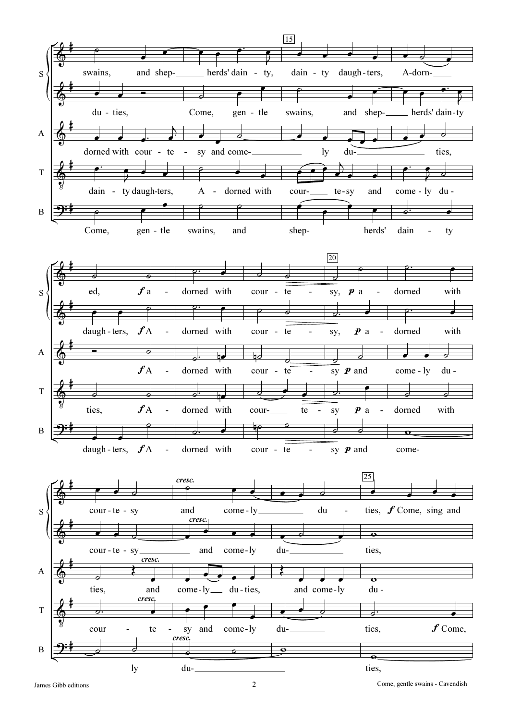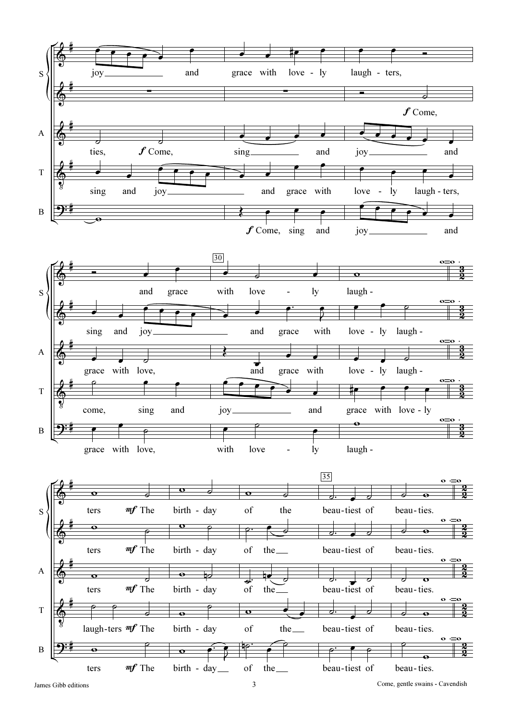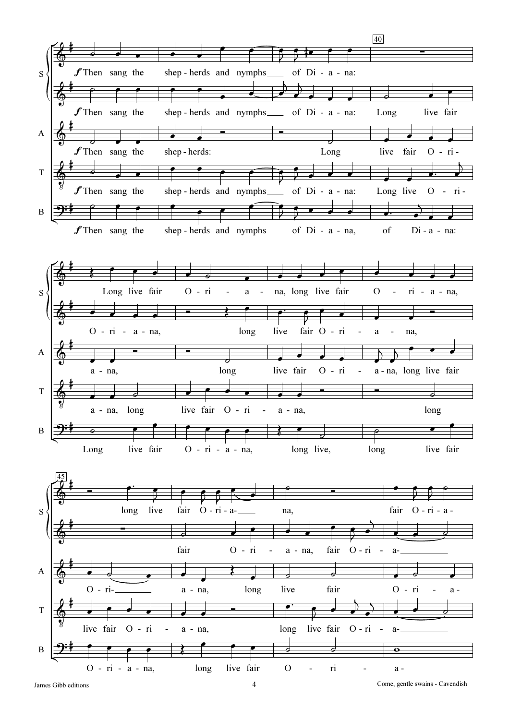